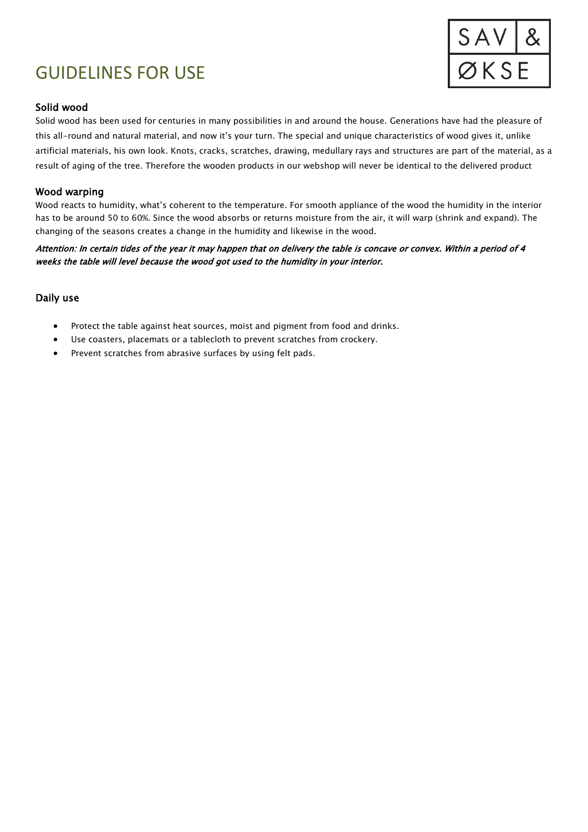# GUIDELINES FOR USE



## Solid wood

Solid wood has been used for centuries in many possibilities in and around the house. Generations have had the pleasure of this all-round and natural material, and now it's your turn. The special and unique characteristics of wood gives it, unlike artificial materials, his own look. Knots, cracks, scratches, drawing, medullary rays and structures are part of the material, as a result of aging of the tree. Therefore the wooden products in our webshop will never be identical to the delivered product

## Wood warping

Wood reacts to humidity, what's coherent to the temperature. For smooth appliance of the wood the humidity in the interior has to be around 50 to 60%. Since the wood absorbs or returns moisture from the air, it will warp (shrink and expand). The changing of the seasons creates a change in the humidity and likewise in the wood.

Attention: In certain tides of the year it may happen that on delivery the table is concave or convex. Within a period of 4 weeks the table will level because the wood got used to the humidity in your interior.

#### Daily use

- Protect the table against heat sources, moist and pigment from food and drinks.
- Use coasters, placemats or a tablecloth to prevent scratches from crockery.
- Prevent scratches from abrasive surfaces by using felt pads.